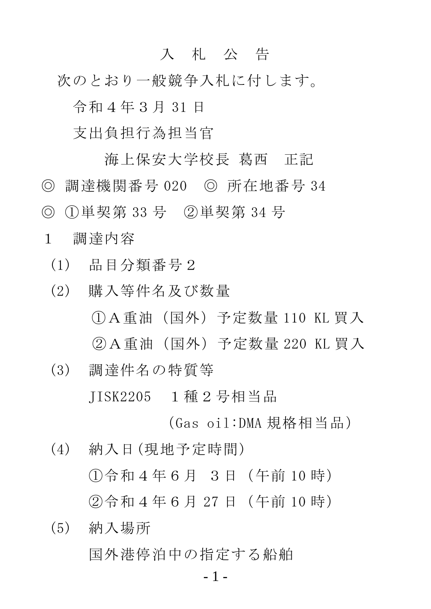## 入 札 公 告

次のとおり一般競争入札に付します。

令和4年3月 31 日

支出負担行為担当官

海上保安大学校長 葛西 正記 ◎ 調達機関番号 020 ◎ 所在地番号 34 ◎ ①単契第 33 号 ②単契第 34 号

1 調達内容

(1) 品目分類番号2

- (2) 購入等件名及び数量 ①A重油(国外)予定数量 110 KL 買入 ②A重油(国外)予定数量 220 KL 買入
- (3) 調達件名の特質等 JISK2205 1種2号相当品

(Gas oil:DMA 規格相当品)

- (4) 納入日(現地予定時間) ①令和4年6月 3日(午前 10 時) ②令和4年6月 27 日(午前 10 時)
- (5) 納入場所 国外港停泊中の指定する船舶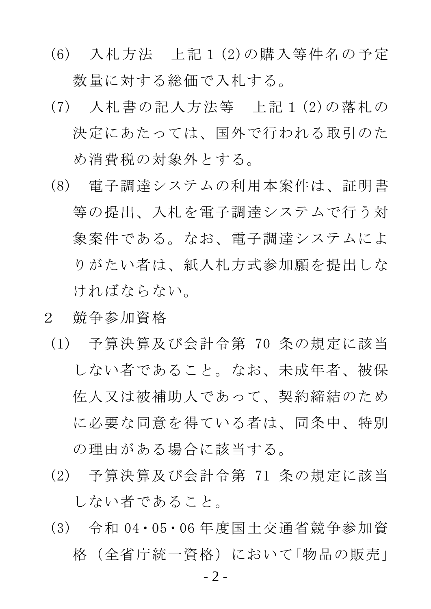- (6) 入札方法 上記1(2)の購入等件名の予定 数量に対する総価で入札する。
- (7) 入札書の記入方法等 上記1(2)の落札の 決定にあたっては、国外で行われる取引のた め消費税の対象外とする。
- (8) 電子調達システムの利用本案件は、証明書 等の提出、入札を電子調達システムで行う対 象案件である。なお、電子調達システムによ りがたい者は、紙入札方式参加願を提出しな ければならない。
- 2 競争参加資格
- (1) 予算決算及び会計令第 70 条の規定に該当 しない者であること。なお、未成年者、被保 佐人又は被補助人であって、契約締結のため に必要な同意を得ている者は、同条中、特別 の理由がある場合に該当する。
- (2) 予算決算及び会計令第 71 条の規定に該当 しない者であること。
- (3) 令和 04・05・06 年度国土交通省競争参加資 格(全省庁統一資格)において「物品の販売」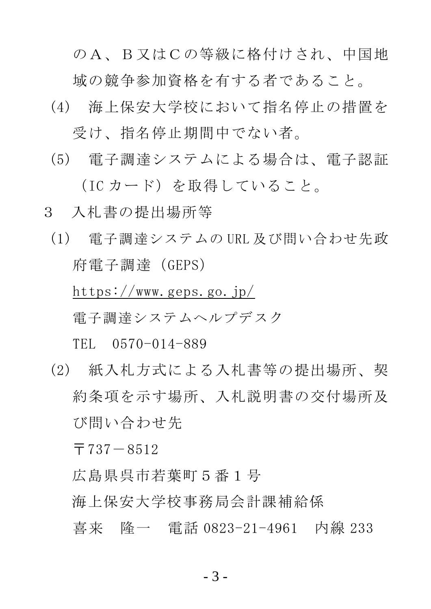のA、B又はCの等級に格付けされ、中国地 域の競争参加資格を有する者であること。

- (4) 海上保安大学校において指名停止の措置を 受け、指名停止期間中でない者。
- (5) 電子調達システムによる場合は、電子認証 (IC カード)を取得していること。
- 3 入札書の提出場所等
	- (1) 電子調達システムの URL 及び問い合わせ先政 府電子調達(GEPS)

https://www.geps.go.jp/ 電子調達システムヘルプデスク

TEL 0570-014-889

(2) 紙入札方式による入札書等の提出場所、契 約条項を示す場所、入札説明書の交付場所及 び問い合わせ先

 $\overline{7}737-8512$ 

広島県呉市若葉町5番1号

- 海上保安大学校事務局会計課補給係
- 喜来 隆一 電話 0823-21-4961 内線 233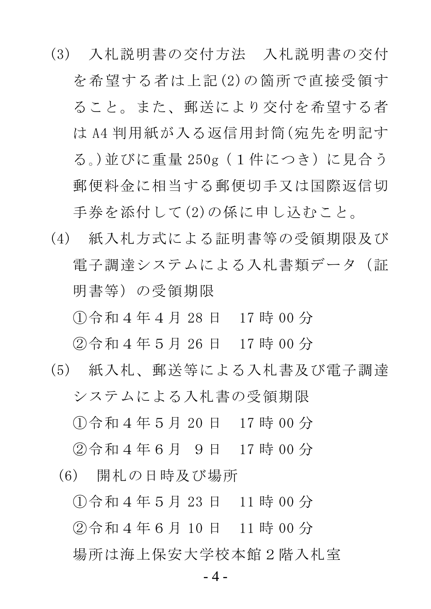- (3) 入札説明書の交付方法 入札説明書の交付 を希望する者は上記(2)の箇所で直接受領す ること。また、郵送により交付を希望する者 は A4 判用紙が入る返信用封筒(宛先を明記す る。)並びに重量 250g(1件につき)に見合う 郵便料金に相当する郵便切手又は国際返信切 手券を添付して(2)の係に申し込むこと。
- (4) 紙入札方式による証明書等の受領期限及び 電子調達システムによる入札書類データ (証 明書等)の受領期限

①令和4年4月 28 日 17 時 00 分

②令和4年5月 26 日 17 時 00 分

- (5) 紙入札、郵送等による入札書及び電子調達 システムによる入札書の受領期限 ①令和4年5月 20 日 17 時 00 分 ②令和4年6月 9日 17 時 00 分
	- (6) 開札の日時及び場所

①令和4年5月 23 日 11 時 00 分

②令和4年6月 10 日 11 時 00 分

場所は海上保安大学校本館2階入札室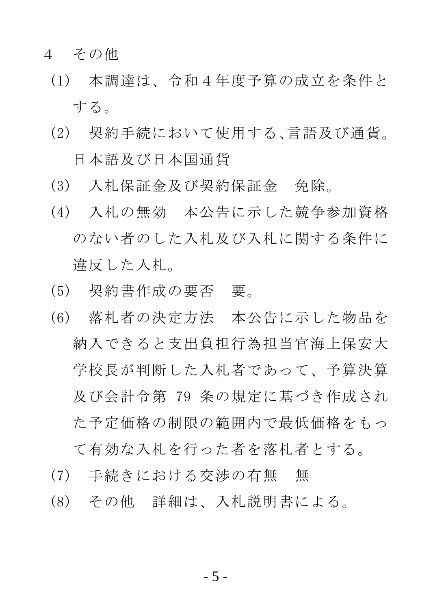## 4 その他

- (1) 本調達は、令和4年度予算の成立を条件と する。
- (2) 契約手続において使用する、言語及び通貨。 日本語及び日本国通貨
- (3) 入札保証金及び契約保証金 免除。
- (4) 入札の無効 本公告に示した競争参加資格 のない者のした入札及び入札に関する条件に 違反した入札。
- (5) 契約書作成の要否 要。
- (6) 落札者の決定方法 本公告に示した物品を 納入できると支出負担行為担当官海上保安大 学校長が判断した入札者であって、予算決算 及び会計令第 79 条の規定に基づき作成され た予定価格の制限の範囲内で最低価格をもっ て有効な入札を行った者を落札者とする。
- (7) 手続きにおける交渉の有無 無
- (8) その他 詳細は、入札説明書による。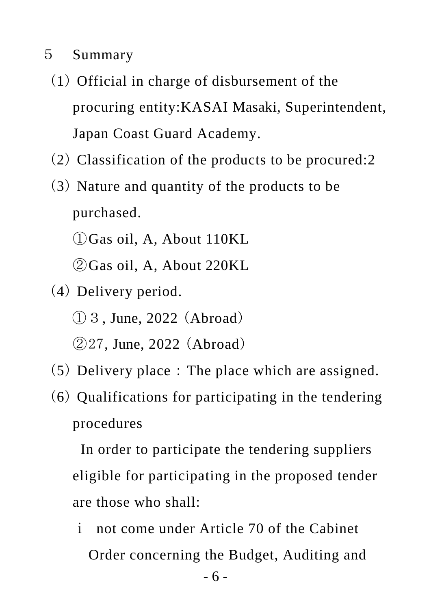## 5 Summary

- (1) Official in charge of disbursement of the procuring entity:KASAI Masaki, Superintendent, Japan Coast Guard Academy.
- (2) Classification of the products to be procured:2
- (3) Nature and quantity of the products to be purchased.
	- ①Gas oil, A, About 110KL
	- ②Gas oil, A, About 220KL
- (4) Delivery period. ①3, June, 2022 (Abroad)
	- ②27, June, 2022 (Abroad)
- (5) Delivery place:The place which are assigned.
- (6) Qualifications for participating in the tendering procedures

 In order to participate the tendering suppliers eligible for participating in the proposed tender are those who shall:

ⅰ not come under Article 70 of the Cabinet Order concerning the Budget, Auditing and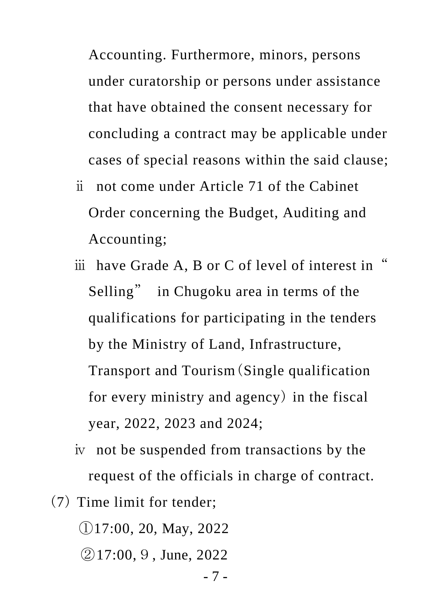Accounting. Furthermore, minors, persons under curatorship or persons under assistance that have obtained the consent necessary for concluding a contract may be applicable under cases of special reasons within the said clause;

- ⅱ not come under Article 71 of the Cabinet Order concerning the Budget, Auditing and Accounting;
- iii have Grade A, B or C of level of interest in Selling" in Chugoku area in terms of the qualifications for participating in the tenders by the Ministry of Land, Infrastructure, Transport and Tourism(Single qualification for every ministry and agency) in the fiscal year, 2022, 2023 and 2024;
- ⅳ not be suspended from transactions by the request of the officials in charge of contract.
- (7) Time limit for tender;

①17:00, 20, May, 2022

②17:00,9, June, 2022

- 7 -